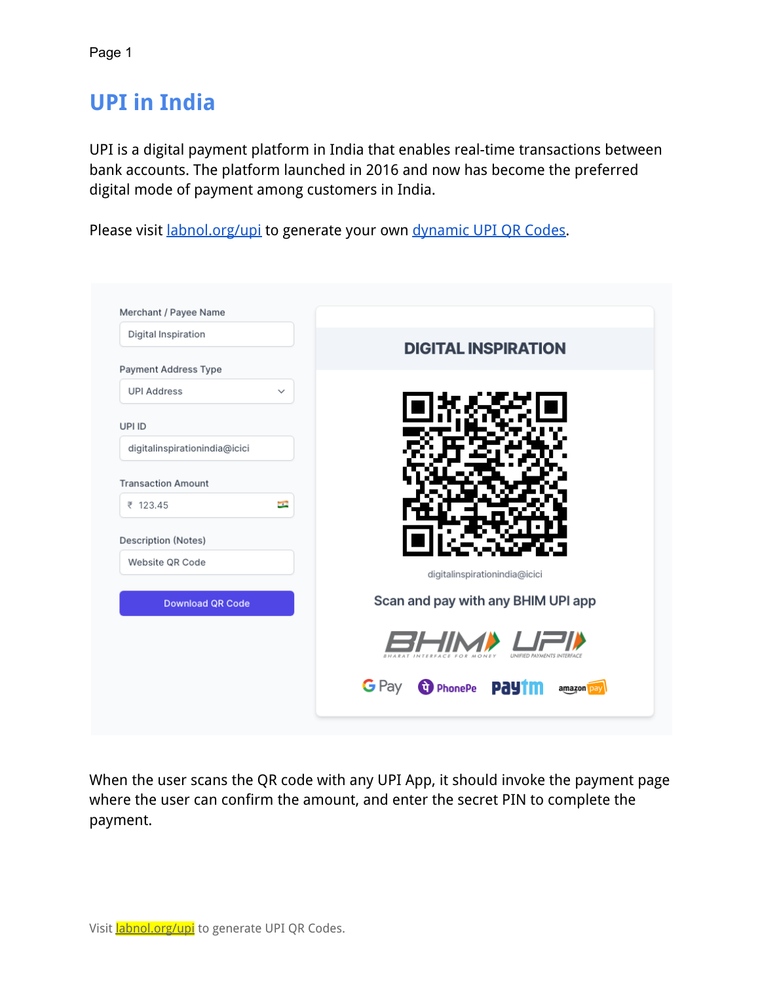## **UPI in India**

UPI is a digital payment platform in India that enables real-time transactions between bank accounts. The platform launched in 2016 and now has become the preferred digital mode of payment among customers in India.

Please visit *[labnol.org/upi](https://www.labnol.org/upi)* to generate your own dynamic [UPI QR Codes.](https://www.labnol.org/dynamic-upi-qr-codes-220426)

| Digital Inspiration                |                                        |
|------------------------------------|----------------------------------------|
| Payment Address Type               | <b>DIGITAL INSPIRATION</b>             |
| <b>UPI Address</b><br>$\checkmark$ |                                        |
| UPI ID                             |                                        |
| digitalinspirationindia@icici      |                                        |
| <b>Transaction Amount</b>          |                                        |
| $-0.1$<br>₹ 123.45                 |                                        |
| <b>Description (Notes)</b>         |                                        |
| Website QR Code                    | digitalinspirationindia@icici          |
| <b>Download QR Code</b>            | Scan and pay with any BHIM UPI app     |
|                                    | <b>UNIFIED PAYMENTS</b>                |
|                                    | G Pay<br>C PhonePe Paytm<br>amazon pay |

When the user scans the QR code with any UPI App, it should invoke the payment page where the user can confirm the amount, and enter the secret PIN to complete the payment.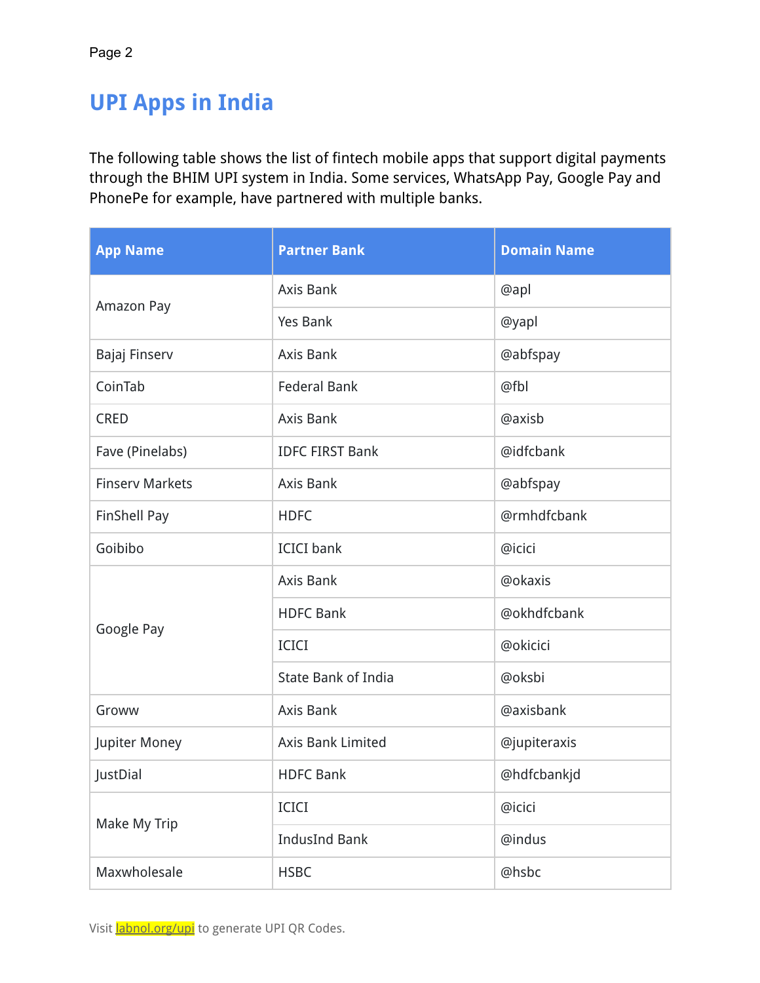## **UPI Apps in India**

The following table shows the list of fintech mobile apps that support digital payments through the BHIM UPI system in India. Some services, WhatsApp Pay, Google Pay and PhonePe for example, have partnered with multiple banks.

| <b>App Name</b>        | <b>Partner Bank</b>        | <b>Domain Name</b> |
|------------------------|----------------------------|--------------------|
| Amazon Pay             | Axis Bank                  | @apl               |
|                        | <b>Yes Bank</b>            | @yapl              |
| Bajaj Finserv          | Axis Bank                  | @abfspay           |
| CoinTab                | <b>Federal Bank</b>        | @fbl               |
| <b>CRED</b>            | <b>Axis Bank</b>           | @axisb             |
| Fave (Pinelabs)        | <b>IDFC FIRST Bank</b>     | @idfcbank          |
| <b>Finsery Markets</b> | Axis Bank                  | @abfspay           |
| FinShell Pay           | <b>HDFC</b>                | @rmhdfcbank        |
| Goibibo                | <b>ICICI</b> bank          | @icici             |
| Google Pay             | Axis Bank                  | @okaxis            |
|                        | <b>HDFC Bank</b>           | @okhdfcbank        |
|                        | <b>ICICI</b>               | @okicici           |
|                        | <b>State Bank of India</b> | @oksbi             |
| Groww                  | <b>Axis Bank</b>           | @axisbank          |
| Jupiter Money          | Axis Bank Limited          | @jupiteraxis       |
| JustDial               | <b>HDFC Bank</b>           | @hdfcbankjd        |
| Make My Trip           | <b>ICICI</b>               | @icici             |
|                        | <b>IndusInd Bank</b>       | @indus             |
| Maxwholesale           | @hsbc<br><b>HSBC</b>       |                    |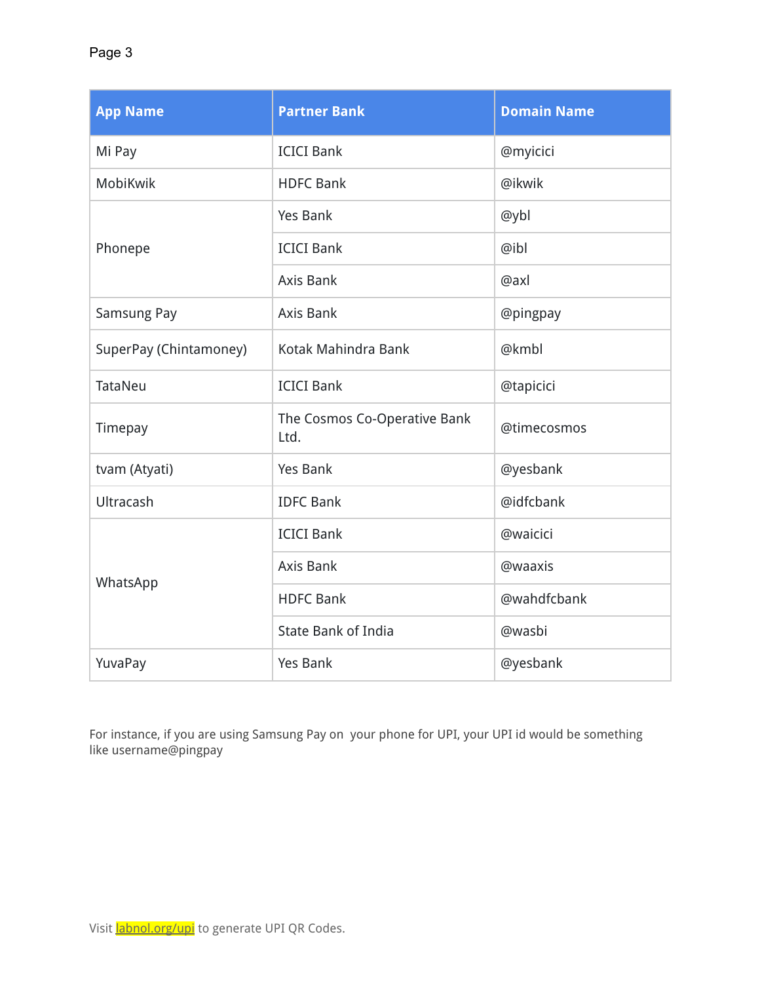| <b>App Name</b>        | <b>Partner Bank</b>                  | <b>Domain Name</b> |
|------------------------|--------------------------------------|--------------------|
| Mi Pay                 | <b>ICICI Bank</b>                    | @myicici           |
| MobiKwik               | <b>HDFC Bank</b>                     | @ikwik             |
| Phonepe                | <b>Yes Bank</b>                      | @ybl               |
|                        | <b>ICICI Bank</b>                    | @ibl               |
|                        | Axis Bank                            | @axl               |
| Samsung Pay            | <b>Axis Bank</b>                     | @pingpay           |
| SuperPay (Chintamoney) | Kotak Mahindra Bank                  | @kmbl              |
| TataNeu                | <b>ICICI Bank</b>                    | @tapicici          |
| Timepay                | The Cosmos Co-Operative Bank<br>Ltd. | @timecosmos        |
| tvam (Atyati)          | <b>Yes Bank</b>                      | @yesbank           |
| Ultracash              | <b>IDFC Bank</b>                     | @idfcbank          |
| WhatsApp               | <b>ICICI Bank</b>                    | @waicici           |
|                        | <b>Axis Bank</b>                     | @waaxis            |
|                        | <b>HDFC Bank</b>                     | @wahdfcbank        |
|                        | <b>State Bank of India</b>           | @wasbi             |
| YuvaPay                | <b>Yes Bank</b>                      | @yesbank           |

For instance, if you are using Samsung Pay on your phone for UPI, your UPI id would be something like username@pingpay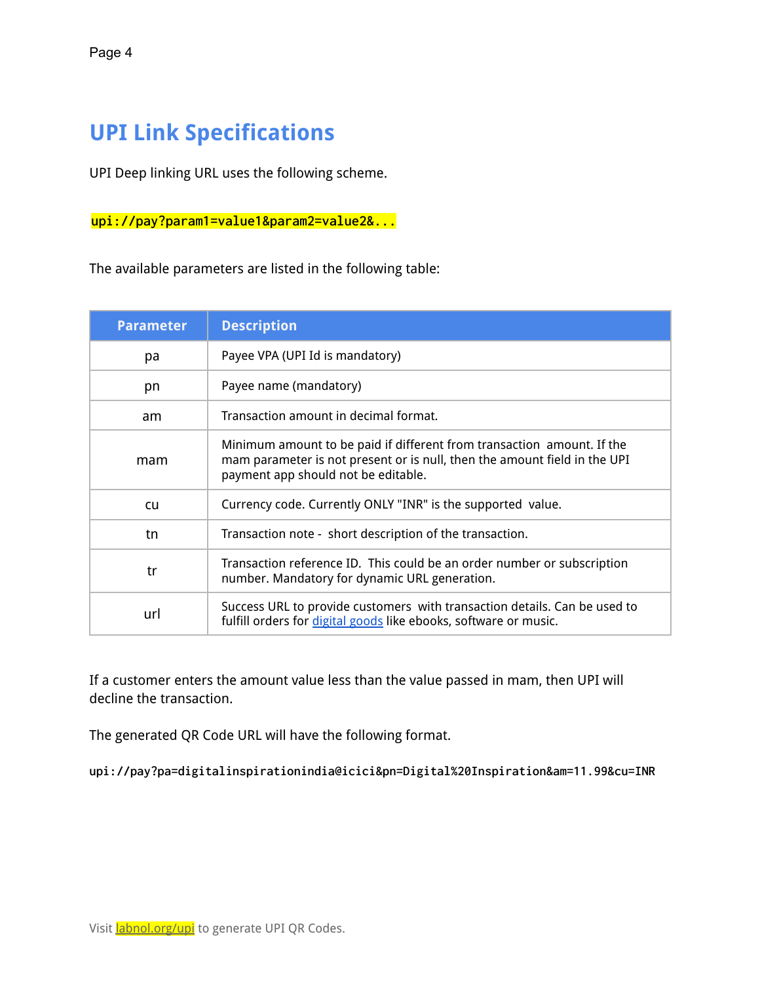## **UPI Link Specifications**

UPI Deep linking URL uses the following scheme.

**upi://pay?param1=value1&param2=value2&...**

The available parameters are listed in the following table:

| <b>Parameter</b> | <b>Description</b>                                                                                                                                                                         |
|------------------|--------------------------------------------------------------------------------------------------------------------------------------------------------------------------------------------|
| рa               | Payee VPA (UPI Id is mandatory)                                                                                                                                                            |
| pn               | Payee name (mandatory)                                                                                                                                                                     |
| am               | Transaction amount in decimal format.                                                                                                                                                      |
| mam              | Minimum amount to be paid if different from transaction amount. If the<br>mam parameter is not present or is null, then the amount field in the UPI<br>payment app should not be editable. |
| cu               | Currency code. Currently ONLY "INR" is the supported value.                                                                                                                                |
| tn               | Transaction note - short description of the transaction.                                                                                                                                   |
| tr               | Transaction reference ID. This could be an order number or subscription<br>number. Mandatory for dynamic URL generation.                                                                   |
| url              | Success URL to provide customers with transaction details. Can be used to<br>fulfill orders for digital goods like ebooks, software or music.                                              |

If a customer enters the amount value less than the value passed in mam, then UPI will decline the transaction.

The generated QR Code URL will have the following format.

**upi://pay?pa=digitalinspirationindia@icici&pn=Digital%20Inspiration&am=11.99&cu=INR**